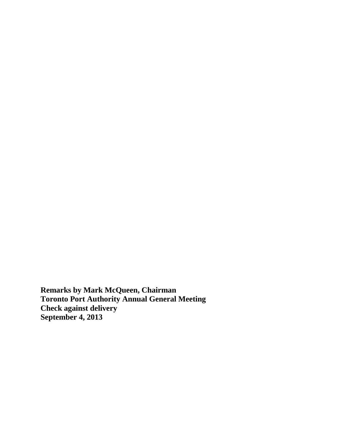**Remarks by Mark McQueen, Chairman Toronto Port Authority Annual General Meeting Check against delivery September 4, 2013**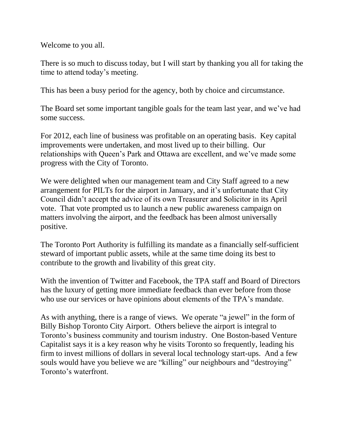Welcome to you all.

There is so much to discuss today, but I will start by thanking you all for taking the time to attend today's meeting.

This has been a busy period for the agency, both by choice and circumstance.

The Board set some important tangible goals for the team last year, and we've had some success.

For 2012, each line of business was profitable on an operating basis. Key capital improvements were undertaken, and most lived up to their billing. Our relationships with Queen's Park and Ottawa are excellent, and we've made some progress with the City of Toronto.

We were delighted when our management team and City Staff agreed to a new arrangement for PILTs for the airport in January, and it's unfortunate that City Council didn't accept the advice of its own Treasurer and Solicitor in its April vote. That vote prompted us to launch a new public awareness campaign on matters involving the airport, and the feedback has been almost universally positive.

The Toronto Port Authority is fulfilling its mandate as a financially self-sufficient steward of important public assets, while at the same time doing its best to contribute to the growth and livability of this great city.

With the invention of Twitter and Facebook, the TPA staff and Board of Directors has the luxury of getting more immediate feedback than ever before from those who use our services or have opinions about elements of the TPA's mandate.

As with anything, there is a range of views. We operate "a jewel" in the form of Billy Bishop Toronto City Airport. Others believe the airport is integral to Toronto's business community and tourism industry. One Boston-based Venture Capitalist says it is a key reason why he visits Toronto so frequently, leading his firm to invest millions of dollars in several local technology start-ups. And a few souls would have you believe we are "killing" our neighbours and "destroying" Toronto's waterfront.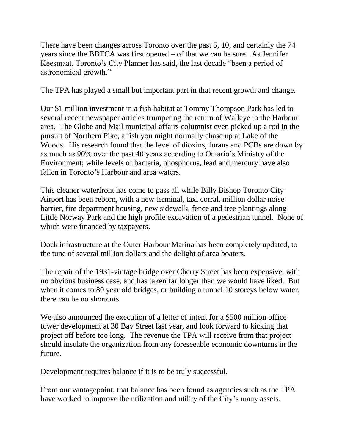There have been changes across Toronto over the past 5, 10, and certainly the 74 years since the BBTCA was first opened – of that we can be sure. As Jennifer Keesmaat, Toronto's City Planner has said, the last decade "been a period of astronomical growth."

The TPA has played a small but important part in that recent growth and change.

Our \$1 million investment in a fish habitat at Tommy Thompson Park has led to several recent newspaper articles trumpeting the return of Walleye to the Harbour area. The Globe and Mail municipal affairs columnist even picked up a rod in the pursuit of Northern Pike, a fish you might normally chase up at Lake of the Woods. His research found that the level of dioxins, furans and PCBs are down by as much as 90% over the past 40 years according to Ontario's Ministry of the Environment; while levels of bacteria, phosphorus, lead and mercury have also fallen in Toronto's Harbour and area waters.

This cleaner waterfront has come to pass all while Billy Bishop Toronto City Airport has been reborn, with a new terminal, taxi corral, million dollar noise barrier, fire department housing, new sidewalk, fence and tree plantings along Little Norway Park and the high profile excavation of a pedestrian tunnel. None of which were financed by taxpayers.

Dock infrastructure at the Outer Harbour Marina has been completely updated, to the tune of several million dollars and the delight of area boaters.

The repair of the 1931-vintage bridge over Cherry Street has been expensive, with no obvious business case, and has taken far longer than we would have liked. But when it comes to 80 year old bridges, or building a tunnel 10 storeys below water, there can be no shortcuts.

We also announced the execution of a letter of intent for a \$500 million office tower development at 30 Bay Street last year, and look forward to kicking that project off before too long. The revenue the TPA will receive from that project should insulate the organization from any foreseeable economic downturns in the future.

Development requires balance if it is to be truly successful.

From our vantagepoint, that balance has been found as agencies such as the TPA have worked to improve the utilization and utility of the City's many assets.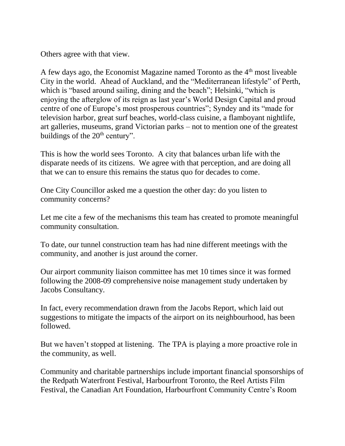Others agree with that view.

A few days ago, the Economist Magazine named Toronto as the  $4<sup>th</sup>$  most liveable City in the world. Ahead of Auckland, and the "Mediterranean lifestyle" of Perth, which is "based around sailing, dining and the beach"; Helsinki, "which is enjoying the afterglow of its reign as last year's World Design Capital and proud centre of one of Europe's most prosperous countries"; Syndey and its "made for television harbor, great surf beaches, world-class cuisine, a flamboyant nightlife, art galleries, museums, grand Victorian parks – not to mention one of the greatest buildings of the  $20<sup>th</sup>$  century".

This is how the world sees Toronto. A city that balances urban life with the disparate needs of its citizens. We agree with that perception, and are doing all that we can to ensure this remains the status quo for decades to come.

One City Councillor asked me a question the other day: do you listen to community concerns?

Let me cite a few of the mechanisms this team has created to promote meaningful community consultation.

To date, our tunnel construction team has had nine different meetings with the community, and another is just around the corner.

Our airport community liaison committee has met 10 times since it was formed following the 2008-09 comprehensive noise management study undertaken by Jacobs Consultancy.

In fact, every recommendation drawn from the Jacobs Report, which laid out suggestions to mitigate the impacts of the airport on its neighbourhood, has been followed.

But we haven't stopped at listening. The TPA is playing a more proactive role in the community, as well.

Community and charitable partnerships include important financial sponsorships of the Redpath Waterfront Festival, Harbourfront Toronto, the Reel Artists Film Festival, the Canadian Art Foundation, Harbourfront Community Centre's Room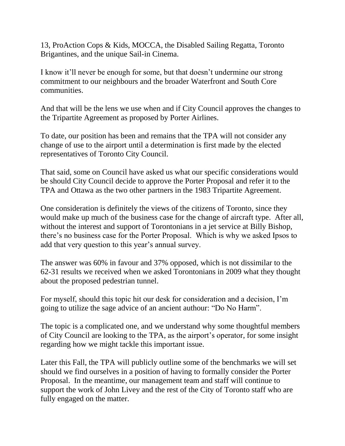13, ProAction Cops & Kids, MOCCA, the Disabled Sailing Regatta, Toronto Brigantines, and the unique Sail-in Cinema.

I know it'll never be enough for some, but that doesn't undermine our strong commitment to our neighbours and the broader Waterfront and South Core communities.

And that will be the lens we use when and if City Council approves the changes to the Tripartite Agreement as proposed by Porter Airlines.

To date, our position has been and remains that the TPA will not consider any change of use to the airport until a determination is first made by the elected representatives of Toronto City Council.

That said, some on Council have asked us what our specific considerations would be should City Council decide to approve the Porter Proposal and refer it to the TPA and Ottawa as the two other partners in the 1983 Tripartite Agreement.

One consideration is definitely the views of the citizens of Toronto, since they would make up much of the business case for the change of aircraft type. After all, without the interest and support of Torontonians in a jet service at Billy Bishop, there's no business case for the Porter Proposal. Which is why we asked Ipsos to add that very question to this year's annual survey.

The answer was 60% in favour and 37% opposed, which is not dissimilar to the 62-31 results we received when we asked Torontonians in 2009 what they thought about the proposed pedestrian tunnel.

For myself, should this topic hit our desk for consideration and a decision, I'm going to utilize the sage advice of an ancient authour: "Do No Harm".

The topic is a complicated one, and we understand why some thoughtful members of City Council are looking to the TPA, as the airport's operator, for some insight regarding how we might tackle this important issue.

Later this Fall, the TPA will publicly outline some of the benchmarks we will set should we find ourselves in a position of having to formally consider the Porter Proposal. In the meantime, our management team and staff will continue to support the work of John Livey and the rest of the City of Toronto staff who are fully engaged on the matter.